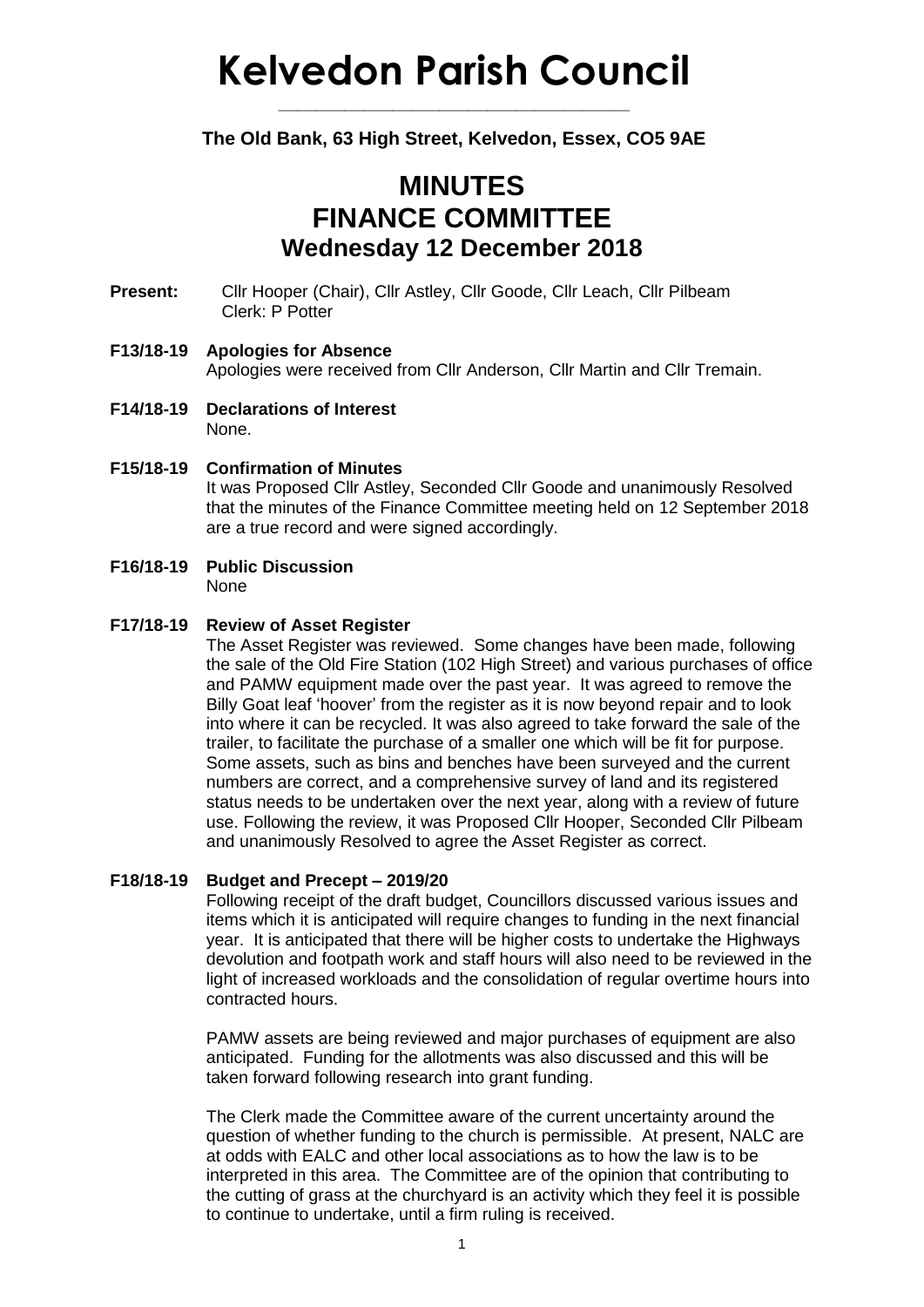# **Kelvedon Parish Council**

### **The Old Bank, 63 High Street, Kelvedon, Essex, CO5 9AE**

**\_\_\_\_\_\_\_\_\_\_\_\_\_\_\_\_\_\_\_\_\_\_\_\_\_\_\_\_\_\_\_\_\_\_\_\_\_**

## **MINUTES FINANCE COMMITTEE Wednesday 12 December 2018**

- **Present:** Cllr Hooper (Chair), Cllr Astley, Cllr Goode, Cllr Leach, Cllr Pilbeam Clerk: P Potter
- **F13/18-19 Apologies for Absence** Apologies were received from Cllr Anderson, Cllr Martin and Cllr Tremain.
- **F14/18-19 Declarations of Interest** None.
- **F15/18-19 Confirmation of Minutes** It was Proposed Cllr Astley, Seconded Cllr Goode and unanimously Resolved that the minutes of the Finance Committee meeting held on 12 September 2018 are a true record and were signed accordingly.
- **F16/18-19 Public Discussion** None

#### **F17/18-19 Review of Asset Register**

The Asset Register was reviewed. Some changes have been made, following the sale of the Old Fire Station (102 High Street) and various purchases of office and PAMW equipment made over the past year. It was agreed to remove the Billy Goat leaf 'hoover' from the register as it is now beyond repair and to look into where it can be recycled. It was also agreed to take forward the sale of the trailer, to facilitate the purchase of a smaller one which will be fit for purpose. Some assets, such as bins and benches have been surveyed and the current numbers are correct, and a comprehensive survey of land and its registered status needs to be undertaken over the next year, along with a review of future use. Following the review, it was Proposed Cllr Hooper, Seconded Cllr Pilbeam and unanimously Resolved to agree the Asset Register as correct.

#### **F18/18-19 Budget and Precept – 2019/20**

Following receipt of the draft budget, Councillors discussed various issues and items which it is anticipated will require changes to funding in the next financial year. It is anticipated that there will be higher costs to undertake the Highways devolution and footpath work and staff hours will also need to be reviewed in the light of increased workloads and the consolidation of regular overtime hours into contracted hours.

PAMW assets are being reviewed and major purchases of equipment are also anticipated. Funding for the allotments was also discussed and this will be taken forward following research into grant funding.

The Clerk made the Committee aware of the current uncertainty around the question of whether funding to the church is permissible. At present, NALC are at odds with EALC and other local associations as to how the law is to be interpreted in this area. The Committee are of the opinion that contributing to the cutting of grass at the churchyard is an activity which they feel it is possible to continue to undertake, until a firm ruling is received.